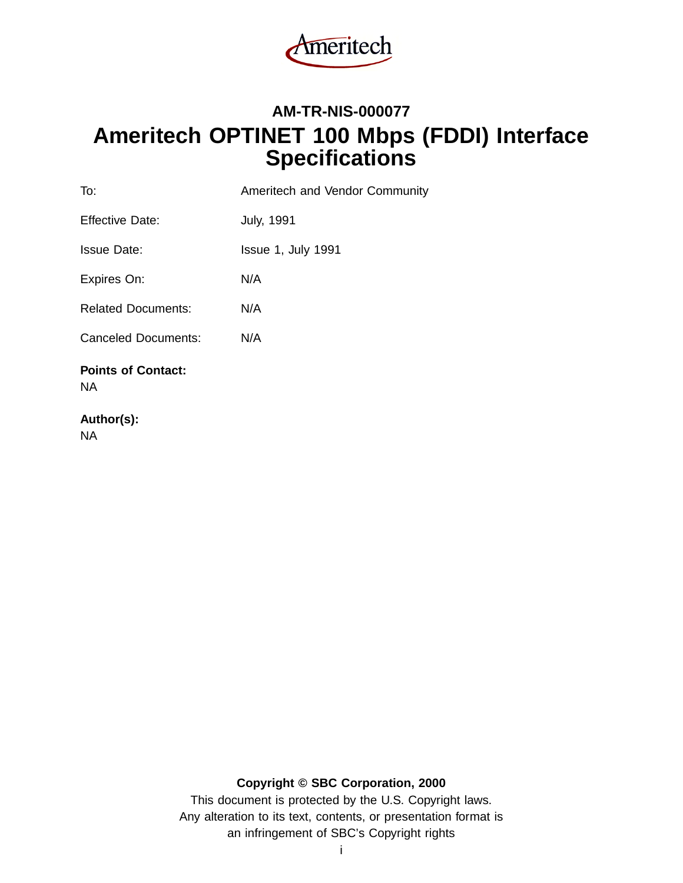

# **AM-TR-NIS-000077 Ameritech OPTINET 100 Mbps (FDDI) Interface Specifications**

| To:                              | Ameritech and Vendor Community |
|----------------------------------|--------------------------------|
| Effective Date:                  | <b>July, 1991</b>              |
| Issue Date:                      | Issue 1, July 1991             |
| Expires On:                      | N/A                            |
| <b>Related Documents:</b>        | N/A                            |
| <b>Canceled Documents:</b>       | N/A                            |
| <b>Points of Contact:</b><br>NA. |                                |
| Author(s):                       |                                |
| NA.                              |                                |

#### **Copyright © SBC Corporation, 2000**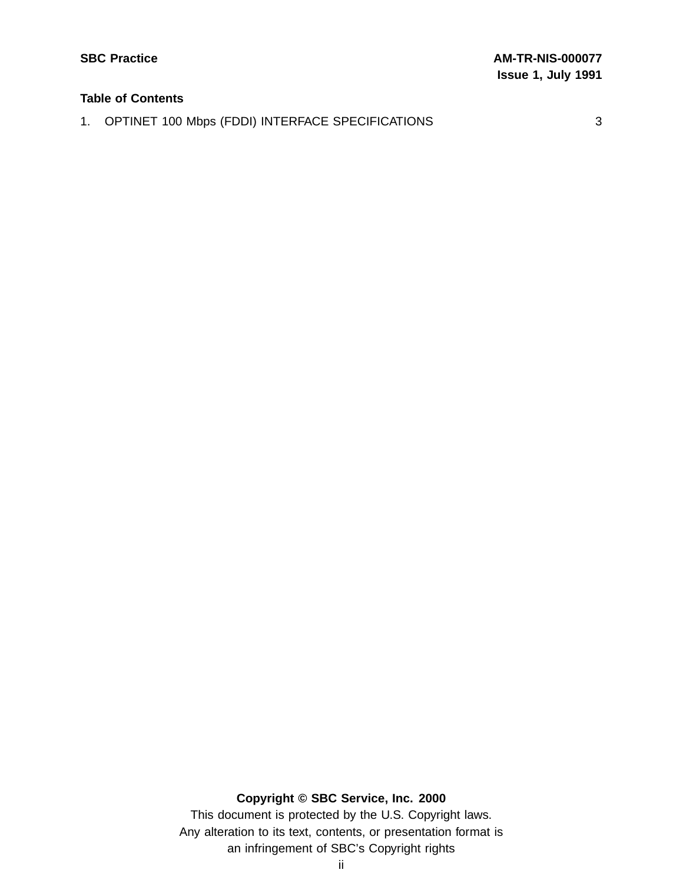#### **Table of Contents**

1. OPTINET 100 Mbps (FDDI) INTERFACE SPECIFICATIONS 3

## **Copyright © SBC Service, Inc. 2000**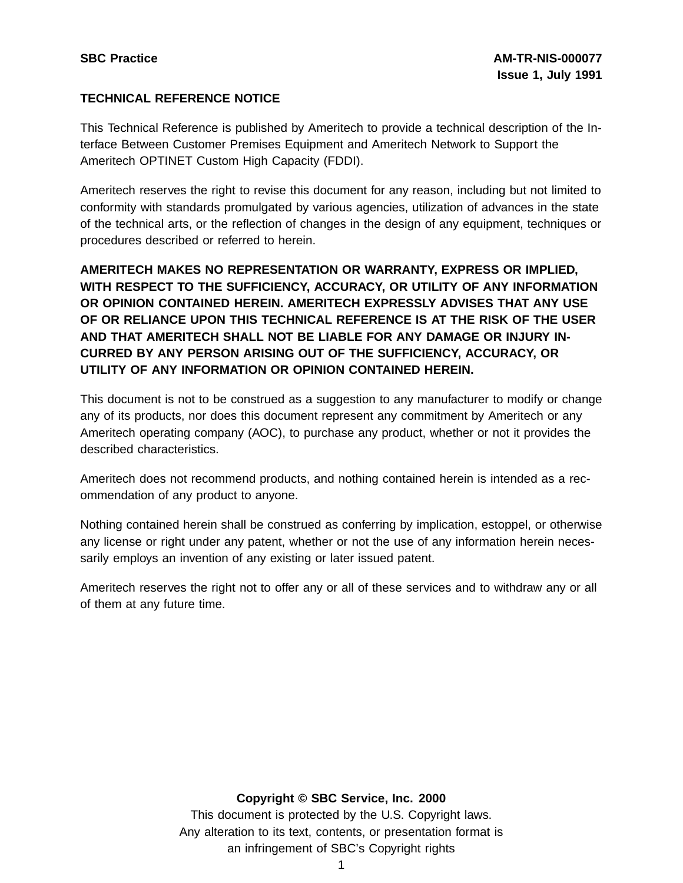#### **TECHNICAL REFERENCE NOTICE**

This Technical Reference is published by Ameritech to provide a technical description of the Interface Between Customer Premises Equipment and Ameritech Network to Support the Ameritech OPTINET Custom High Capacity (FDDI).

Ameritech reserves the right to revise this document for any reason, including but not limited to conformity with standards promulgated by various agencies, utilization of advances in the state of the technical arts, or the reflection of changes in the design of any equipment, techniques or procedures described or referred to herein.

**AMERITECH MAKES NO REPRESENTATION OR WARRANTY, EXPRESS OR IMPLIED, WITH RESPECT TO THE SUFFICIENCY, ACCURACY, OR UTILITY OF ANY INFORMATION OR OPINION CONTAINED HEREIN. AMERITECH EXPRESSLY ADVISES THAT ANY USE OF OR RELIANCE UPON THIS TECHNICAL REFERENCE IS AT THE RISK OF THE USER AND THAT AMERITECH SHALL NOT BE LIABLE FOR ANY DAMAGE OR INJURY IN-CURRED BY ANY PERSON ARISING OUT OF THE SUFFICIENCY, ACCURACY, OR UTILITY OF ANY INFORMATION OR OPINION CONTAINED HEREIN.**

This document is not to be construed as a suggestion to any manufacturer to modify or change any of its products, nor does this document represent any commitment by Ameritech or any Ameritech operating company (AOC), to purchase any product, whether or not it provides the described characteristics.

Ameritech does not recommend products, and nothing contained herein is intended as a recommendation of any product to anyone.

Nothing contained herein shall be construed as conferring by implication, estoppel, or otherwise any license or right under any patent, whether or not the use of any information herein necessarily employs an invention of any existing or later issued patent.

Ameritech reserves the right not to offer any or all of these services and to withdraw any or all of them at any future time.

**Copyright © SBC Service, Inc. 2000**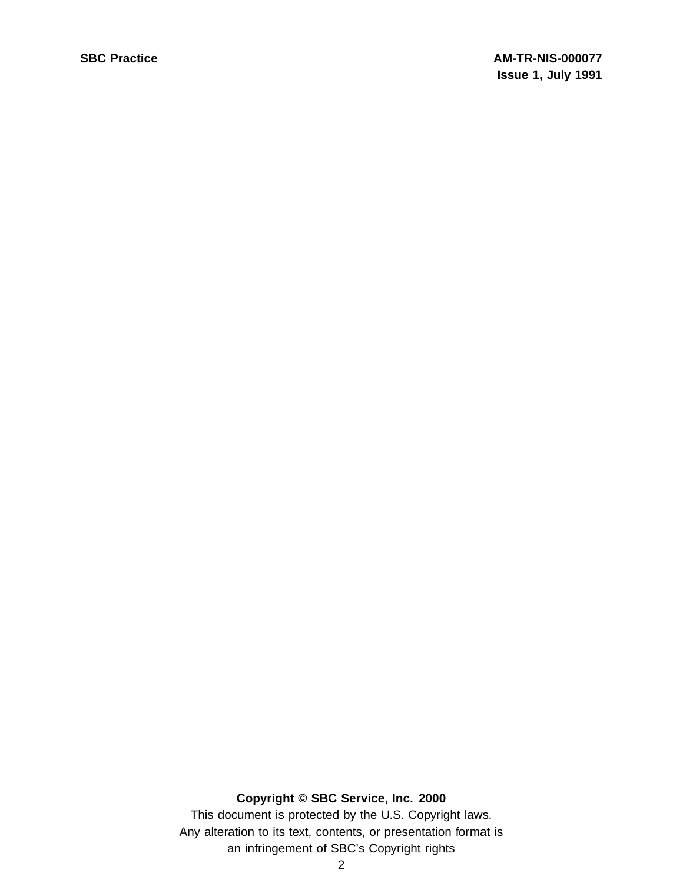### **Copyright © SBC Service, Inc. 2000**